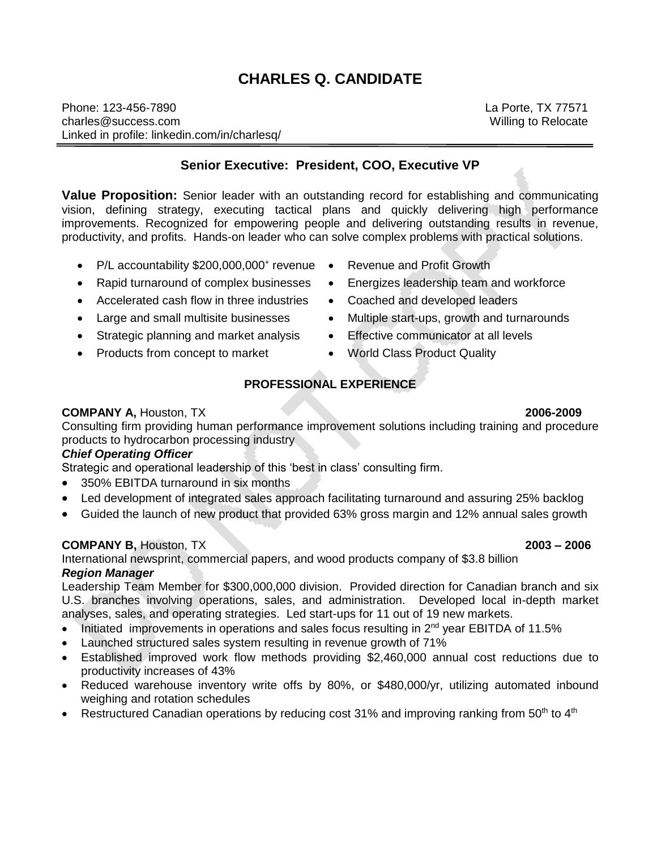# **CHARLES Q. CANDIDATE**

Phone: 123-456-7890 charles@success.com Linked in profile: linkedin.com/in/charlesq/

**Senior Executive: President, COO, Executive VP**

**Value Proposition:** Senior leader with an outstanding record for establishing and communicating vision, defining strategy, executing tactical plans and quickly delivering high performance improvements. Recognized for empowering people and delivering outstanding results in revenue, productivity, and profits. Hands-on leader who can solve complex problems with practical solutions.

- P/L accountability \$200,000,000<sup>+</sup> revenue
- Rapid turnaround of complex businesses
- Accelerated cash flow in three industries
- Large and small multisite businesses
- Strategic planning and market analysis
- Products from concept to market
- Revenue and Profit Growth
- Energizes leadership team and workforce
- Coached and developed leaders
- Multiple start-ups, growth and turnarounds
- **Effective communicator at all levels**
- World Class Product Quality

# **PROFESSIONAL EXPERIENCE**

### **COMPANY A,** Houston, TX **2006-2009**

Consulting firm providing human performance improvement solutions including training and procedure products to hydrocarbon processing industry

### *Chief Operating Officer*

Strategic and operational leadership of this 'best in class' consulting firm.

- 350% EBITDA turnaround in six months
- Led development of integrated sales approach facilitating turnaround and assuring 25% backlog
- Guided the launch of new product that provided 63% gross margin and 12% annual sales growth

# **COMPANY B,** Houston, TX **2003 – 2006**

International newsprint, commercial papers, and wood products company of \$3.8 billion *Region Manager*

Leadership Team Member for \$300,000,000 division. Provided direction for Canadian branch and six U.S. branches involving operations, sales, and administration. Developed local in-depth market analyses, sales, and operating strategies. Led start-ups for 11 out of 19 new markets.

- Initiated improvements in operations and sales focus resulting in  $2^{nd}$  year EBITDA of 11.5%
- Launched structured sales system resulting in revenue growth of 71%
- Established improved work flow methods providing \$2,460,000 annual cost reductions due to productivity increases of 43%
- Reduced warehouse inventory write offs by 80%, or \$480,000/yr, utilizing automated inbound weighing and rotation schedules
- Restructured Canadian operations by reducing cost 31% and improving ranking from 50<sup>th</sup> to 4<sup>th</sup>

La Porte, TX 77571 Willing to Relocate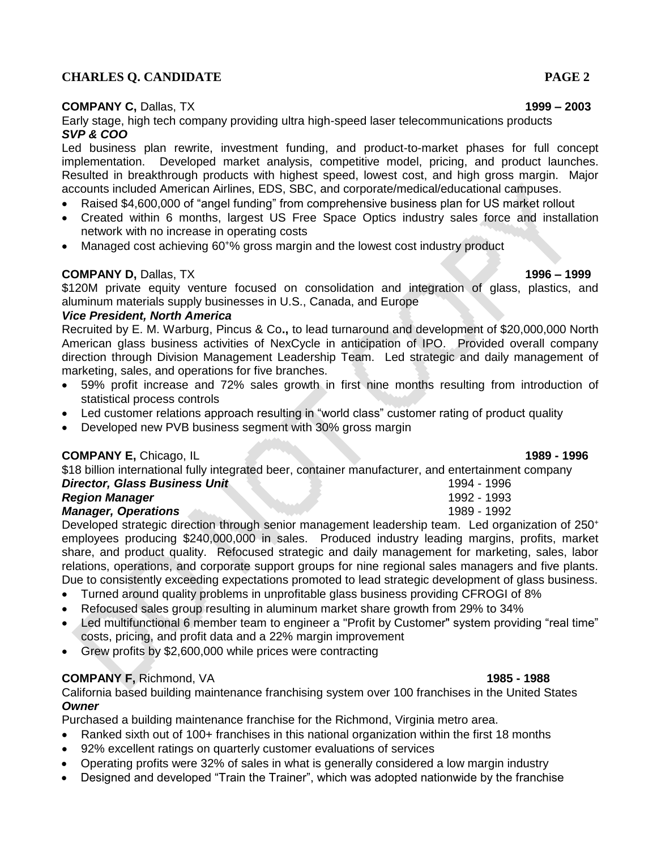# **CHARLES Q. CANDIDATE PAGE 2**

# **COMPANY C,** Dallas, TX **1999 – 2003**

# Early stage, high tech company providing ultra high-speed laser telecommunications products *SVP & COO*

Led business plan rewrite, investment funding, and product-to-market phases for full concept implementation. Developed market analysis, competitive model, pricing, and product launches. Resulted in breakthrough products with highest speed, lowest cost, and high gross margin. Major accounts included American Airlines, EDS, SBC, and corporate/medical/educational campuses.

- Raised \$4,600,000 of "angel funding" from comprehensive business plan for US market rollout
- Created within 6 months, largest US Free Space Optics industry sales force and installation network with no increase in operating costs
- Managed cost achieving 60<sup>+</sup>% gross margin and the lowest cost industry product

# **COMPANY D,** Dallas, TX **1996 – 1999**

\$120M private equity venture focused on consolidation and integration of glass, plastics, and aluminum materials supply businesses in U.S., Canada, and Europe

### *Vice President, North America*

Recruited by E. M. Warburg, Pincus & Co**.,** to lead turnaround and development of \$20,000,000 North American glass business activities of NexCycle in anticipation of IPO. Provided overall company direction through Division Management Leadership Team. Led strategic and daily management of marketing, sales, and operations for five branches.

- 59% profit increase and 72% sales growth in first nine months resulting from introduction of statistical process controls
- Led customer relations approach resulting in "world class" customer rating of product quality
- Developed new PVB business segment with 30% gross margin

# **COMPANY E,** Chicago, IL **1989 - 1996**

\$18 billion international fully integrated beer, container manufacturer, and entertainment company **Director, Glass Business Unit** 1994 - 1996 **Region Manager** 1992 - 1993 *Manager, Operations* 1989 - 1992

Developed strategic direction through senior management leadership team. Led organization of 250<sup>+</sup> employees producing \$240,000,000 in sales. Produced industry leading margins, profits, market share, and product quality. Refocused strategic and daily management for marketing, sales, labor relations, operations, and corporate support groups for nine regional sales managers and five plants. Due to consistently exceeding expectations promoted to lead strategic development of glass business.

- Turned around quality problems in unprofitable glass business providing CFROGI of 8%
- Refocused sales group resulting in aluminum market share growth from 29% to 34%
- Led multifunctional 6 member team to engineer a "Profit by Customer" system providing "real time" costs, pricing, and profit data and a 22% margin improvement
- Grew profits by \$2,600,000 while prices were contracting

# **COMPANY F,** Richmond, VA **1985 - 1988**

California based building maintenance franchising system over 100 franchises in the United States *Owner*

Purchased a building maintenance franchise for the Richmond, Virginia metro area.

- Ranked sixth out of 100+ franchises in this national organization within the first 18 months
- 92% excellent ratings on quarterly customer evaluations of services
- Operating profits were 32% of sales in what is generally considered a low margin industry
- Designed and developed "Train the Trainer", which was adopted nationwide by the franchise